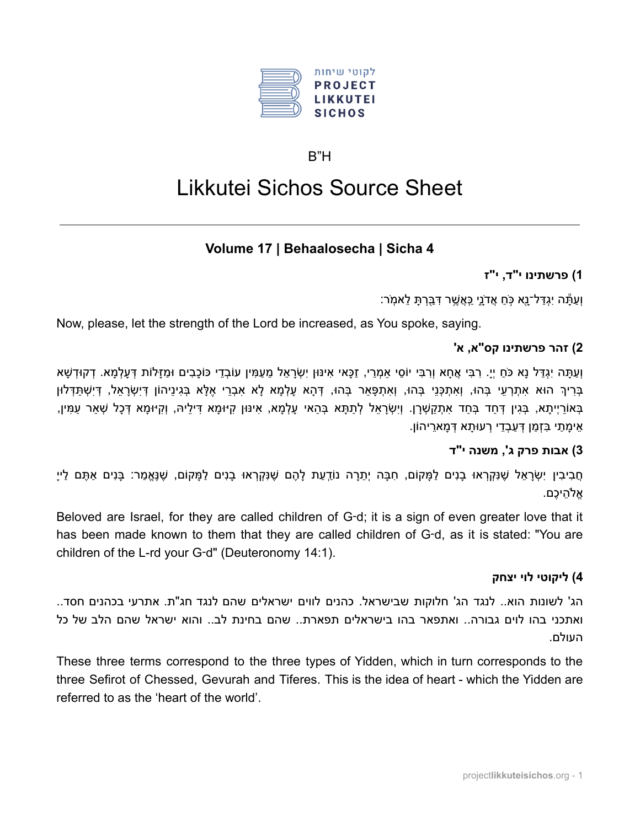

# B"H

# Likkutei Sichos Source Sheet

# **Volume 17 | Behaalosecha | Sicha 4**

# **1( פרשתינו י"ד, י"ז**

וְעַתָּ֫ה יְגִדֵּל־נֵא כִּחַ אֲדֹנֵי ַכָּאֲשֶׁר דַּבֵּרְתַּ לֵאמֹֽר:

Now, please, let the strength of the Lord be increased, as You spoke, saying.

# **2( זהר פרשתינו קס"א, א'**

וְעַתָּה יְגִדַּל נָא כֹּחַ יְיָ. רְבִי אֲחָא וְרִבִּי יוֹסֵי אַמְרֵי, זַכָּאי אִינּוּן יִשְׂרָאֵל מֵעַמִּין עוֹבְדֵי כּוֹכָבִים וּמַזָּלוֹת דְּעָלְמָא. דְקוּדְשָׁא ָבְּרִיךְ הוּא אָתָרְעֵי בָּהוּ, וְאָתְכָּנֵי בָּהוּ, וְאִתְפָּאר בָּהוּ, דְּהֵא עַלְמַא לַא אָבָרֵי אֶלֵּא בְּגִינֵיהוֹן דְּיִשְׂרַאֵל, דְּיִשְׁתַּדְּלוּן ָבְּאוֹרַיִּתַא, בְּגִין דְּחַד בְּחַד אִתְקַשָּׁרַן. וְיַשְׂרָאֵל לְתַתָּא בְּהָאי עֲלְמַא, אִינּוּן קִיּוּמַא דִּילֵיהּ, וְקִיּוּמַא דְּכָל שָׁאר עַמִּין, ָאֵימַתַי בַּזְמַן דְּעֲבָדֵי רְעוּתַא דְּמַארֵיהוֹן.

# **3( אבות פרק ג', משנה י"ד**

ְחֲבִיבִין יִשְׂרָאֵל שֶׁנִּקְרָאוּ בָנִים לַמָּקוֹם, חִבָּה יְתֶרָה נוֹדֻעַת לָהֶם שֶׁנִּקְרָאוּ בָנִים ַשְׁנֵאֱמַר: בָּנִים אַתֶּם לַייַ ָאֵלהֵיכֵם.

Beloved are Israel, for they are called children of G‑d; it is a sign of even greater love that it has been made known to them that they are called children of G-d, as it is stated: "You are children of the L-rd your G‑d" (Deuteronomy 14:1).

# **4( ליקוטי לוי יצחק**

הג' לשונות הוא.. לנגד הג' חלוקות שבישראל. כהנים לווים ישראלים שהם לנגד חג"ת. אתרעי בכהנים חסד.. ואתכני בהו לוים גבורה.. ואתפאר בהו בישראלים תפארת.. שהם בחינת לב.. והוא ישראל שהם הלב של כל העולם.

These three terms correspond to the three types of Yidden, which in turn corresponds to the three Sefirot of Chessed, Gevurah and Tiferes. This is the idea of heart - which the Yidden are referred to as the 'heart of the world'.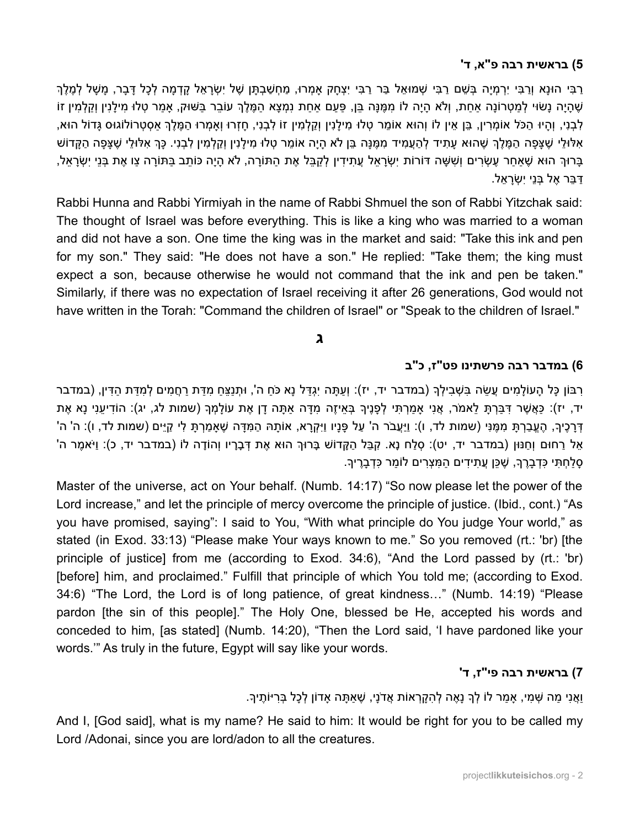## **5( בראשית רבה פ"א, ד'**

ַרְבִּי הוּנַא וְרַבִּי יִרְמְיַה בִּשֶׁם רַבִּי שְׁמוּאֵל בַּר רַבִּי יִצְחֲק אמְרוּ, מַחְשָׁבְתַּן שֶׁל יִשְׂרָאֵל קַדְמַה לְכָל דַּבַר, מַשַׁל לְמֶלֶךְ ַּשְׁהַיָּה נַשׂוּי לְמַטְרוֹנַה אחַת, וְלֹא הַיֵּה לוֹ מִמֶּנַּה בֵּן, פֶּעַם אחַת נִמְצַא הַמֶּלֶךְ עוֹבֵר בַּשּׁוּק, אמַר טְלוּ מִילַנִין וְקַלְמִין זֹו ַלְבְנִי, וְהֵיוּ הַכֹּל אוֹמְרִין, בֵּן אֵין לוֹ וְהוּא אוֹמֵר טָלוּ מִילַנִין וְקַלְמִין זוֹ לְבְנִי, חַזְרוּ וְאמְרוּ הַמֶּלֶךְ אסְטָרוֹלוֹגוּס גַּדוֹל הוּא, ַאִלּוּלֵי שֶׁצֲפָה הַמֶּלֶךְ שֶׁהוּא עַתִּיד לְהַעֱמִיד מִמֶּנָּה בֵּן לֹא הַיֵּה אוֹמֵר טָלוּ מִילַנִין וְקַלְמִין לְבִנִי. כָּךְ אִלּוּלֵי שֶׁצַּפָּה הַקֵּדוֹש ַּבּרוּךְ הוּא שַׁאחַר עֵשׂרִים וְשִׁשַּׁה דּוֹרוֹת יִשְׂרָאֵל עֲתִידִין לְקַבֵּל אֶת הַתּוֹרָה, לֹא הָיָה כּוֹתֶב בַּתּוֹרָה צַו אֶת בְּנֵי יִשְׂרָאֵל, ַדְּבֵּר אֵל בְּנֵי יִשְׂרַאֵל.

Rabbi Hunna and Rabbi Yirmiyah in the name of Rabbi Shmuel the son of Rabbi Yitzchak said: The thought of Israel was before everything. This is like a king who was married to a woman and did not have a son. One time the king was in the market and said: "Take this ink and pen for my son." They said: "He does not have a son." He replied: "Take them; the king must expect a son, because otherwise he would not command that the ink and pen be taken." Similarly, if there was no expectation of Israel receiving it after 26 generations, God would not have written in the Torah: "Command the children of Israel" or "Speak to the children of Israel."

## **ג**

## **6( במדבר רבה פרשתינו פט"ז, כ"ב**

ָרְבּוֹן כָּל הָעוֹלָמִים עֲשֶׂה בְּשָׁבִילְךְ (במדבר יד, יז): וְעַתָּה יְגִדַּל נָא כֹּחַ ה', וּתְנַצֵּחַ מְדַּת רַחֲמִים לְמְדַּת הַדִּין, (במדבר יד, יז): כַּאֲשֶׁר דִּבַּרְתַּ לֵאמֹר, אֶנִי אמַרְתִּי לְפָנֵיךָ בָּאֵיזֶה מִדָּה אַתַּה דַן אֶת עוֹלַמְךָ (שמות לג, יג): הוֹדִיעֵנִי נַא אֶת ַּדְרְכִיךָ, הַעָבְרָת מִמְּנִי (שמות לד, ו): ויַעבֹר ה' על פּנִיו וַיִּקְרָא, אוֹתָהָ הַמִּדָּה שַׁאמרתּ לִי קִיּים (שמות לד, ו): ה' ה' ַאֵל רַחוּם וְחַנּוּן (במדבר יד, יט): סָלַח נַא. קִבֶּל הַקַּדוֹשׁ בַּרוּךְ הוּא אֶת דְּבַרֵיו וְהוֹדָה לוֹ (במדבר יד, כ): וַיֹּאמֶר ה' ַסְלַחְתִּי כִּדְבַרֵךְ, שֶׁכֵּן עֶתִידִים הַמֵּצְרִים לוֹמַר כִּדְבַרֵיךָ.

Master of the universe, act on Your behalf. (Numb. 14:17) "So now please let the power of the Lord increase," and let the principle of mercy overcome the principle of justice. (Ibid., cont.) "As you have promised, saying": I said to You, "With what principle do You judge Your world," as stated (in Exod. 33:13) "Please make Your ways known to me." So you removed (rt.: 'br) [the principle of justice] from me (according to Exod. 34:6), "And the Lord passed by (rt.: 'br) [before] him, and proclaimed." Fulfill that principle of which You told me; (according to Exod. 34:6) "The Lord, the Lord is of long patience, of great kindness…" (Numb. 14:19) "Please pardon [the sin of this people]." The Holy One, blessed be He, accepted his words and conceded to him, [as stated] (Numb. 14:20), "Then the Lord said, 'I have pardoned like your words.'" As truly in the future, Egypt will say like your words.

#### **7( בראשית רבה פי"ז, ד'**

ַ וְאֶנִי מַה שָׁמִי, אמַר לוֹ לְךָ נַאֶה לְהָקֵרְאוֹת אֱדֹנֵי, שֵׁאֲתֵּה אדוֹן לְכַל בְּרִיּוֹתֵיךָ.

And I, [God said], what is my name? He said to him: It would be right for you to be called my Lord /Adonai, since you are lord/adon to all the creatures.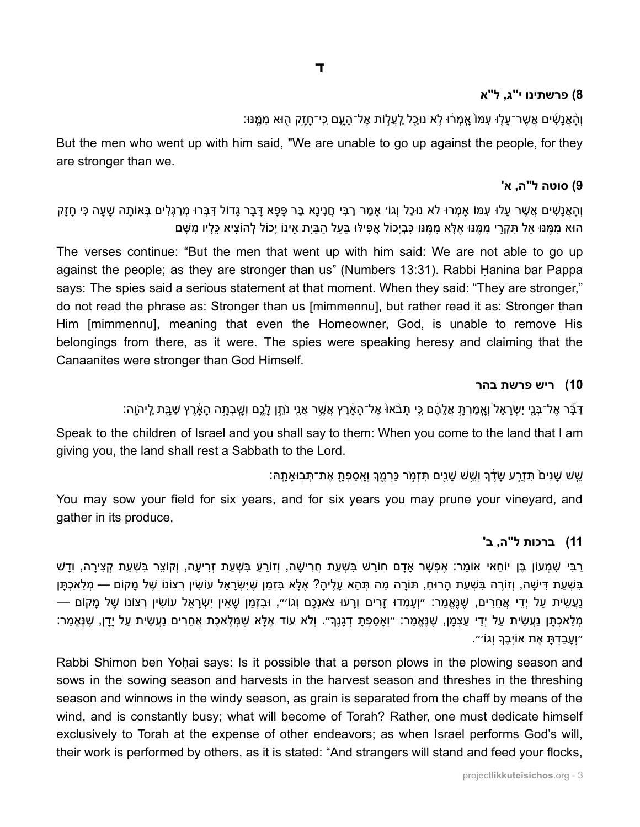## **ד**

# **8( פרשתינו י"ג, ל"א**

וְהָ֫אֲנַשִׁים אֵשֶׁר־עַלְוּ עִמּוֹ אֵמְרֹוּ לִא נוּכַל לַעֲלִוֹת אֶל־הַעַם כֵּי־חַזַק הוּא מִמֵּנּוּ:

But the men who went up with him said, "We are unable to go up against the people, for they are stronger than we.

# **9( סוטה ל"ה, א'**

וְהַאֶנַשִׁים אֲשֶׁר עַלוּ עִמּוֹ אמְרוּ לֹא נוּכַל וְגוֹ׳ אמַר רַבִּי חֵנִינַא בַּר פָּפָא דַּבַר גַּדוֹל דִּבְרוּ מְרַגְּלִים בְּאוֹתַהּ שַׁעַה כִּי חַזַק ָּהוּא מִמֶּנּוּ אל תִּקְרֵי מִמֶּנּוּ אֶלֵּא מִמֶּנּוּ כָּבְיַכוֹל אֱפִילּוּ בַּעַל הַבַּיִת אֵינוֹ יַכוֹל לְהוֹצִיא כֵּלֵיו מִשָּׁם

The verses continue: "But the men that went up with him said: We are not able to go up against the people; as they are stronger than us" (Numbers 13:31). Rabbi Ḥanina bar Pappa says: The spies said a serious statement at that moment. When they said: "They are stronger," do not read the phrase as: Stronger than us [mimmennu], but rather read it as: Stronger than Him [mimmennu], meaning that even the Homeowner, God, is unable to remove His belongings from there, as it were. The spies were speaking heresy and claiming that the Canaanites were stronger than God Himself.

# **10( ריש פרשת בהר**

ַדָּבֶּ֫ר אֶל־בָּנֵי יִשְׂרַאֵל וְאֶמַרְתָּ אֶלֶהֶם כִּי תַבֹּאוּ אֶל־הַאֶּ֫רֵץ אֲשֶׁר אֶנֵי נֹתֵן לָכֵם וְשָׁבְתָה הַאֶּרֵץ שַׁבֵּת לִיהוֶה:

Speak to the children of Israel and you shall say to them: When you come to the land that I am giving you, the land shall rest a Sabbath to the Lord.

ָשָׁשׁ שָׁנִים <sup>ְ</sup>תִּזַרְע שָׂדֶר וְשֵׁשׁ שָׁנֵים תִּזְמֹֽר כַּרְמֶרְ וְאֵסַפְתָּ אֶת־תְּבְוּאַתָה:

You may sow your field for six years, and for six years you may prune your vineyard, and gather in its produce,

# **11( ברכות ל"ה, ב'**

ַרְבִּי שָׁמְעוֹן בֵּן יוֹחַאי אוֹמֵר: אֶפְשַׁר אדַם חוֹרֵשׁ בִּשְׁעַת חֵרִישָׁה, וְזוֹרֵע בִּשְׁעַת זְרִיעַה, וְקוֹצֵר בִּשְׁעַת קָצִירַה, וְדַשׁ ַבְּשָׁעַת דִּישָׁה, וְזוֹרֶה בְּשָׁעַת הַרוּחָ, תּוֹרָה מַה תִּהֵא עַלֶיהָ? אֶלֵּא בִּזְמַן שָׁיִשְׂרָאֵל עוֹשִׂין רְצוֹנוֹ שֶׁל מַקוֹם — מְלֵאכָתַּן ַּנַעֲשִׂית עַל יְדֵי אֶחֵרים, שֶׁנֶּאֱמַר: ״וְעַמְדוּ זַרִים וְרַעוּ צֹאנְכֶם וְגוֹ״״, וּבִזְמַן שָׁאֵין יִשְׂרַאֵל עוֹשִׂין רְצוֹנוֹ שֶׁל מַקוֹם — ָּמְלַאכָתַּן נַעֲשִׂית עַל יְדֵי עַצְמַן, שֶׁנֶּאֱמַר: ״וְאסַפָּתַ דָגְנֵךְ״. וְלֹא עוֹד אֶלֵּא שֶׁמְּלֵאכֶת אֶחֲרים נַעֲשִׂית עַל יַדַן, שֶׁנֶּאֱמַר: ״וְעַבַדְתַּ אֶת אוֹיְבֶךָ וְגוֹ״״.

Rabbi Shimon ben Yohai says: Is it possible that a person plows in the plowing season and sows in the sowing season and harvests in the harvest season and threshes in the threshing season and winnows in the windy season, as grain is separated from the chaff by means of the wind, and is constantly busy; what will become of Torah? Rather, one must dedicate himself exclusively to Torah at the expense of other endeavors; as when Israel performs God's will, their work is performed by others, as it is stated: "And strangers will stand and feed your flocks,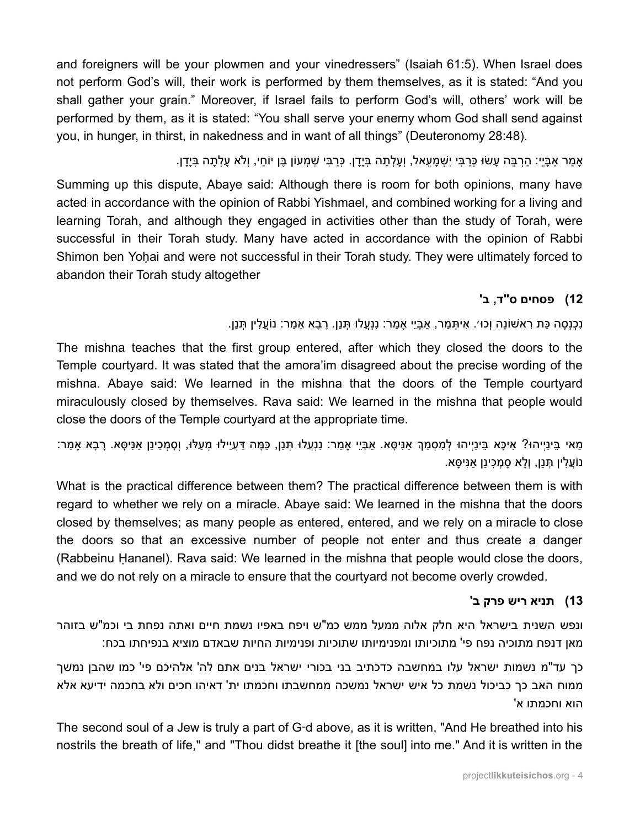and foreigners will be your plowmen and your vinedressers" (Isaiah 61:5). When Israel does not perform God's will, their work is performed by them themselves, as it is stated: "And you shall gather your grain." Moreover, if Israel fails to perform God's will, others' work will be performed by them, as it is stated: "You shall serve your enemy whom God shall send against you, in hunger, in thirst, in nakedness and in want of all things" (Deuteronomy 28:48).

ָאמַר אַבֵּיֵי: הַרְבֵּה עַשׂוּ כָּרֲבִּי יִשְׁמַעֵאל, וְעַלְתָה בְּיַדָן. כְּרַבִּי שִׁמְעוֹן בֵּן יוֹחַי, וְלֹא עַלְתָה בְּיֵדן.

Summing up this dispute, Abaye said: Although there is room for both opinions, many have acted in accordance with the opinion of Rabbi Yishmael, and combined working for a living and learning Torah, and although they engaged in activities other than the study of Torah, were successful in their Torah study. Many have acted in accordance with the opinion of Rabbi Shimon ben Yohai and were not successful in their Torah study. They were ultimately forced to abandon their Torah study altogether

# **12( פסחים ס"ד, ב'**

# ַנְכָנְסֶה כֶּת רְאשׁוֹנַה וְכוּ׳. אִיתְּמֵר, אֲבֵיֵי אמֵר: נִנְעֲלוּ תְּנֵן. רַבָא אמֵר: נוֹעֵלִין תְּנֵן.

The mishna teaches that the first group entered, after which they closed the doors to the Temple courtyard. It was stated that the amora'im disagreed about the precise wording of the mishna. Abaye said: We learned in the mishna that the doors of the Temple courtyard miraculously closed by themselves. Rava said: We learned in the mishna that people would close the doors of the Temple courtyard at the appropriate time.

ַמְּאִי בֵּינַיְיהוּ? אִיכָּא בֵּינֵיִיהוּ לְמִסְמַךְ אַנִּיסֵא. אַבַּיֵי אמַר: נִנְעֶלוּ תִּנַן, כָּמַה דַּעֵיִילוּ מְעַלּוּ, וְסַמְכִינַן אַנִּיסַא. רַבָא אמַר: נֹוֲע ִלין ְּתנַן, וְ ָל ָ א ס ְמ ִכינַ ַ ן אּנִי ָּסא.

What is the practical difference between them? The practical difference between them is with regard to whether we rely on a miracle. Abaye said: We learned in the mishna that the doors closed by themselves; as many people as entered, entered, and we rely on a miracle to close the doors so that an excessive number of people not enter and thus create a danger (Rabbeinu Ḥananel). Rava said: We learned in the mishna that people would close the doors, and we do not rely on a miracle to ensure that the courtyard not become overly crowded.

# **13( תניא ריש פרק ב'**

ונפש השנית בישראל היא חלק אלוה ממעל ממש כמ"ש ויפח באפיו נשמת חיים ואתה נפחת בי וכמ"ש בזוהר מאן דנפח מתוכיה נפח פי' מתוכיותו ומפנימיותו שתוכיות ופנימיות החיות שבאדם מוציא בנפיחתו בכח:

כך עד"מ נשמות ישראל עלו במחשבה כדכתיב בני בכורי ישראל בנים אתם לה' אלהיכם פי' כמו שהבן נמשך ממוח האב כך כביכול נשמת כל איש ישראל נמשכה ממחשבתו וחכמתו ית' דאיהו חכים ולא בחכמה ידיעא אלא הוא וחכמתו א'

The second soul of a Jew is truly a part of G‑d above, as it is written, "And He breathed into his nostrils the breath of life," and "Thou didst breathe it [the soul] into me." And it is written in the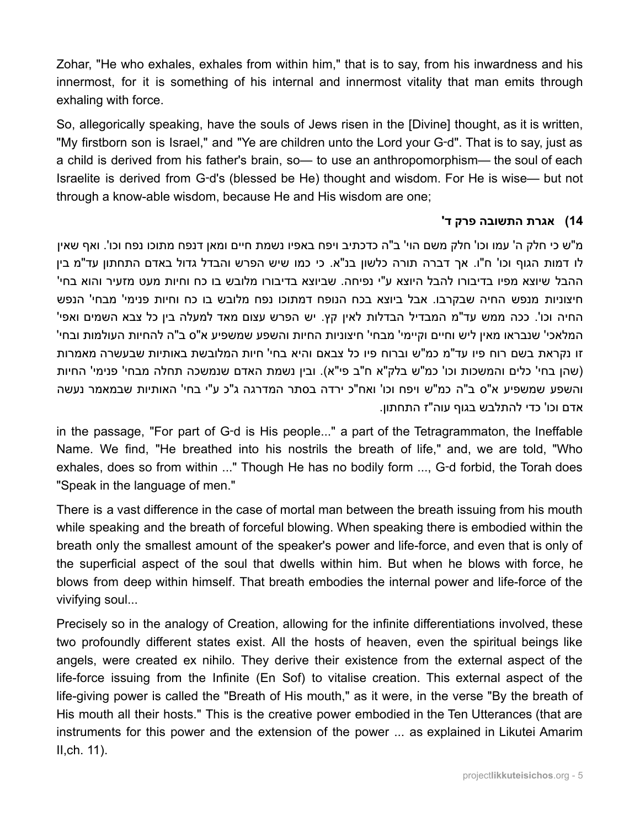Zohar, "He who exhales, exhales from within him," that is to say, from his inwardness and his innermost, for it is something of his internal and innermost vitality that man emits through exhaling with force.

So, allegorically speaking, have the souls of Jews risen in the [Divine] thought, as it is written, "My firstborn son is Israel," and "Ye are children unto the Lord your G‑d". That is to say, just as a child is derived from his father's brain, so— to use an anthropomorphism— the soul of each Israelite is derived from G‑d's (blessed be He) thought and wisdom. For He is wise— but not through a know-able wisdom, because He and His wisdom are one;

## **14( אגרת התשובה פרק ד'**

מ"ש כי חלק ה' עמו וכו' חלק משם הוי' ב"ה כדכתיב ויפח באפיו נשמת חיים ומאן דנפח מתוכו נפח וכו'. ואף שאין לו דמות הגוף וכו' ח"ו. אך דברה תורה כלשון בנ"א. כי כמו שיש הפרש והבדל גדול באדם התחתון עד"מ בין ההבל שיוצא מפיו בדיבורו להבל היוצא ע"י נפיחה. שביוצא בדיבורו מלובש בו כח וחיות מעט מזעיר והוא בחי' חיצוניות מנפש החיה שבקרבו. אבל ביוצא בכח הנופח דמתוכו נפח מלובש בו כח וחיות פנימי' מבחי' הנפש החיה וכו'. ככה ממש עד"מ המבדיל הבדלות לאין קץ. יש הפרש עצום מאד למעלה בין כל צבא השמים ואפי' המלאכי' שנבראו מאין ליש וחיים וקיימי' מבחי' חיצוניות החיות והשפע שמשפיע א"ס ב"ה להחיות העולמות ובחי' זו נקראת בשם רוח פיו עד"מ כמ"ש וברוח פיו כל צבאם והיא בחי' חיות המלובשת באותיות שבעשרה מאמרות (שהן בחי' כלים והמשכות וכו' כמ"ש בלק"א ח"ב פי"א). ובין נשמת האדם שנמשכה תחלה מבחי' פנימי' החיות והשפע שמשפיע א"ס ב"ה כמ"ש ויפח וכו' ואח"כ ירדה בסתר המדרגה ג"כ ע"י בחי' האותיות שבמאמר נעשה אדם וכו' כדי להתלבש בגוף עוה"ז התחתון.

in the passage, "For part of G‑d is His people..." a part of the Tetragrammaton, the Ineffable Name. We find, "He breathed into his nostrils the breath of life," and, we are told, "Who exhales, does so from within ..." Though He has no bodily form ..., G-d forbid, the Torah does "Speak in the language of men."

There is a vast difference in the case of mortal man between the breath issuing from his mouth while speaking and the breath of forceful blowing. When speaking there is embodied within the breath only the smallest amount of the speaker's power and life-force, and even that is only of the superficial aspect of the soul that dwells within him. But when he blows with force, he blows from deep within himself. That breath embodies the internal power and life-force of the vivifying soul...

Precisely so in the analogy of Creation, allowing for the infinite differentiations involved, these two profoundly different states exist. All the hosts of heaven, even the spiritual beings like angels, were created ex nihilo. They derive their existence from the external aspect of the life-force issuing from the Infinite (En Sof) to vitalise creation. This external aspect of the life-giving power is called the "Breath of His mouth," as it were, in the verse "By the breath of His mouth all their hosts." This is the creative power embodied in the Ten Utterances (that are instruments for this power and the extension of the power ... as explained in Likutei Amarim II,ch. 11).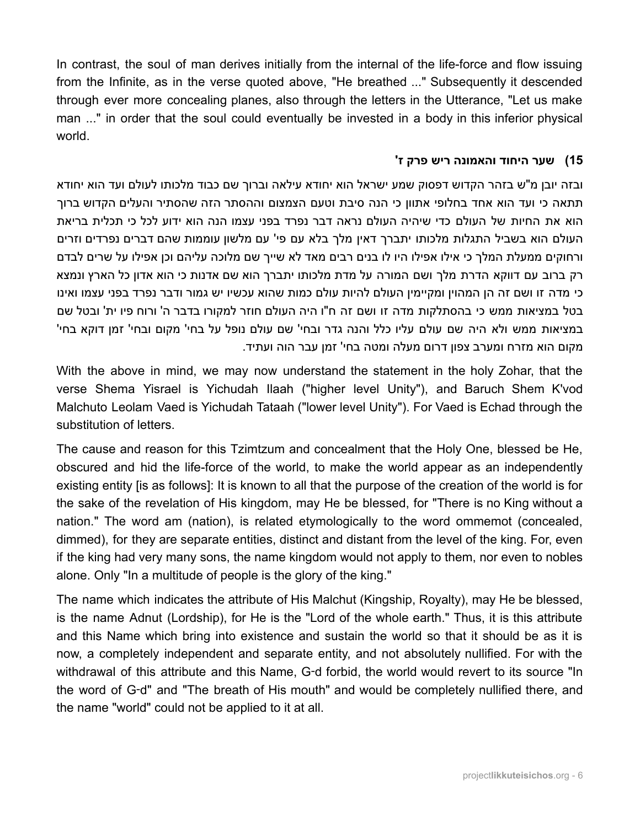In contrast, the soul of man derives initially from the internal of the life-force and flow issuing from the Infinite, as in the verse quoted above, "He breathed ..." Subsequently it descended through ever more concealing planes, also through the letters in the Utterance, "Let us make man ..." in order that the soul could eventually be invested in a body in this inferior physical world.

## **15( שער היחוד והאמונה ריש פרק ז'**

ובזה יובן מ"ש בזהר הקדוש דפסוק שמע ישראל הוא יחודא עילאה וברוך שם כבוד מלכותו לעולם ועד הוא יחודא תתאה כי ועד הוא אחד בחלופי אתוון כי הנה סיבת וטעם הצמצום וההסתר הזה שהסתיר והעלים הקדוש ברוך הוא את החיות של העולם כדי שיהיה העולם נראה דבר נפרד בפני עצמו הנה הוא ידוע לכל כי תכלית בריאת העולם הוא בשביל התגלות מלכותו יתברך דאין מלך בלא עם פי' עם מלשון עוממות שהם דברים נפרדים וזרים ורחוקים ממעלת המלך כי אילו אפילו היו לו בנים רבים מאד לא שייך שם מלוכה עליהם וכן אפילו על שרים לבדם רק ברוב עם דווקא הדרת מלך ושם המורה על מדת מלכותו יתברך הוא שם אדנות כי הוא אדון כל הארץ ונמצא כי מדה זו ושם זה הן המהוין ומקיימין העולם להיות עולם כמות שהוא עכשיו יש גמור ודבר נפרד בפני עצמו ואינו בטל במציאות ממש כי בהסתלקות מדה זו ושם זה ח"ו היה העולם חוזר למקורו בדבר ה' ורוח פיו ית' ובטל שם במציאות ממש ולא היה שם עולם עליו כלל והנה גדר ובחי' שם עולם נופל על בחי' מקום ובחי' זמן דוקא בחי' מקום הוא מזרח ומערב צפון דרום מעלה ומטה בחי' זמן עבר הוה ועתיד.

With the above in mind, we may now understand the statement in the holy Zohar, that the verse Shema Yisrael is Yichudah Ilaah ("higher level Unity"), and Baruch Shem K'vod Malchuto Leolam Vaed is Yichudah Tataah ("lower level Unity"). For Vaed is Echad through the substitution of letters.

The cause and reason for this Tzimtzum and concealment that the Holy One, blessed be He, obscured and hid the life-force of the world, to make the world appear as an independently existing entity [is as follows]: It is known to all that the purpose of the creation of the world is for the sake of the revelation of His kingdom, may He be blessed, for "There is no King without a nation." The word am (nation), is related etymologically to the word ommemot (concealed, dimmed), for they are separate entities, distinct and distant from the level of the king. For, even if the king had very many sons, the name kingdom would not apply to them, nor even to nobles alone. Only "In a multitude of people is the glory of the king."

The name which indicates the attribute of His Malchut (Kingship, Royalty), may He be blessed, is the name Adnut (Lordship), for He is the "Lord of the whole earth." Thus, it is this attribute and this Name which bring into existence and sustain the world so that it should be as it is now, a completely independent and separate entity, and not absolutely nullified. For with the withdrawal of this attribute and this Name, G-d forbid, the world would revert to its source "In the word of G‑d" and "The breath of His mouth" and would be completely nullified there, and the name "world" could not be applied to it at all.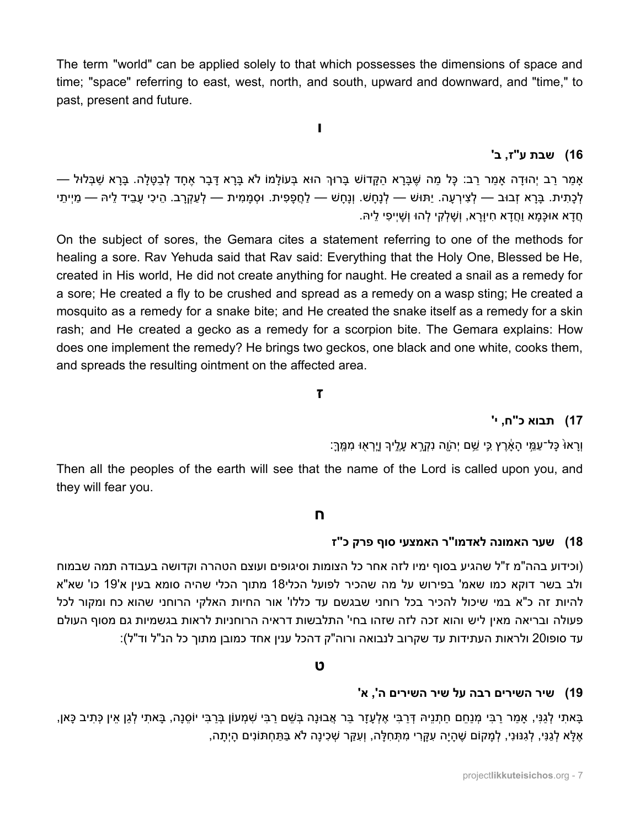The term "world" can be applied solely to that which possesses the dimensions of space and time; "space" referring to east, west, north, and south, upward and downward, and "time," to past, present and future.

**ו**

## **16( שבת ע"ז, ב'**

ָאמַר רַב יְהוּדַה אַמַר רַב: כָּל מַה שֶׁבַּרָא הַקֵּדוֹשׁ בַּרוּךְ הוּא בְּעוֹלַמוֹ לֹא בַּרָא דַּבַר אֶחַד לְבַטֶּלַה. בַּרָא שַׁבִּלוּל — לְכָתִית. בַּרֵא זָבוּב — לְצִירְעַה. יִַּתּוּשׁ — לְנַחֲשׁ. וְנַחֲשׁ — לַחֲפָפִית. וּסְמַמִית — לְעַקְרַב. הֵיכִי עַבֵיד לֵיהּ — מַיִיתֵי ָחֲדָא אוּכָּמֵא וַחֲדָא חִיוַּרַא, וְשַׁלְקִי לְהוּ וְשָׁיִיפִי לֵיהּ.

On the subject of sores, the Gemara cites a statement referring to one of the methods for healing a sore. Rav Yehuda said that Rav said: Everything that the Holy One, Blessed be He, created in His world, He did not create anything for naught. He created a snail as a remedy for a sore; He created a fly to be crushed and spread as a remedy on a wasp sting; He created a mosquito as a remedy for a snake bite; and He created the snake itself as a remedy for a skin rash; and He created a gecko as a remedy for a scorpion bite. The Gemara explains: How does one implement the remedy? He brings two geckos, one black and one white, cooks them, and spreads the resulting ointment on the affected area.

#### **ז**

## **17( תבוא כ"ח, י'**

## וְרָאוּ כָּל־עֲמֵי הָאֶרֶץ כֶּי שֵׁם יְהוֶה נִקְרֶא עָלֵיךְ ווֵיִרְאָוּ מְמֶךְ׃

Then all the peoples of the earth will see that the name of the Lord is called upon you, and they will fear you.

#### **ח**

#### **18( שער האמונה לאדמו"ר האמצעי סוף פרק כ"ז**

)וכידוע בהה"מ ז"ל שהגיע בסוף ימיו לזה אחר כל הצומות וסיגופים ועוצם הטהרה וקדושה בעבודה תמה שבמוח ולב בשר דוקא כמו שאמ' בפירוש על מה שהכיר לפועל הכלי18 מתוך הכלי שהיה סומא בעין א'19 כו' שא"א להיות זה כ"א במי שיכול להכיר בכל רוחני שבגשם עד כללו' אור החיות האלקי הרוחני שהוא כח ומקור לכל פעולה ובריאה מאין ליש והוא זכה לזה שזהו בחי' התלבשות דראיה הרוחניות לראות בגשמיות גם מסוף העולם עד סופו20 ולראות העתידות עד שקרוב לנבואה ורוה"ק דהכל ענין אחד כמובן מתוך כל הנ"ל וד"ל(:

#### **ט**

## **19( שיר השירים רבה על שיר השירים ה', א'**

ָּבָּאתִי לְגַּנִּי, אַמַר רַבִּי מְנַחֵם חַתְנֵיהּ דְּרַבִּי אֶלְעָזָר בַּר אֲבוּנָה בְּשֵׁם רַבִּי שְׁמְעוֹן בְּרַבִּי יוֹסֵנָה, בָּאתִי לְגַן אֵין כְּתִיב כָּאן, ָּאֵלַא לְגֵנִי, לְגִנּוּנִי, לְמַקוֹם שֶׁהַיָה עָקֵרי מִתְּחַלֵּה, וְעַקֵּר שְׁכִינַה לֹא בַּתַּחִתּוֹנִים הַיְתַה,